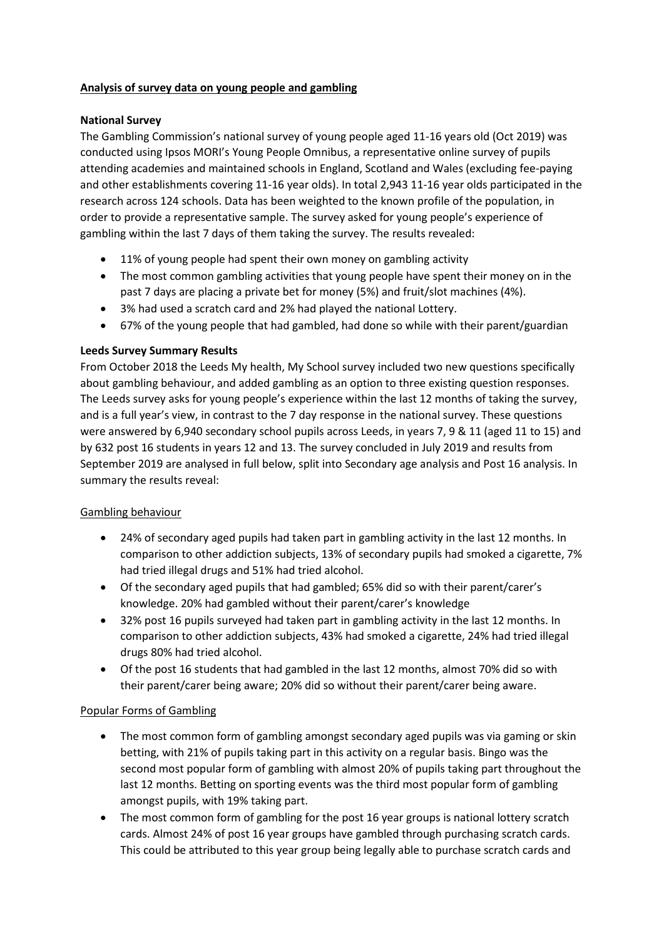## **Analysis of survey data on young people and gambling**

## **National Survey**

The Gambling Commission's national survey of young people aged 11-16 years old (Oct 2019) was conducted using Ipsos MORI's Young People Omnibus, a representative online survey of pupils attending academies and maintained schools in England, Scotland and Wales (excluding fee-paying and other establishments covering 11-16 year olds). In total 2,943 11-16 year olds participated in the research across 124 schools. Data has been weighted to the known profile of the population, in order to provide a representative sample. The survey asked for young people's experience of gambling within the last 7 days of them taking the survey. The results revealed:

- 11% of young people had spent their own money on gambling activity
- The most common gambling activities that young people have spent their money on in the past 7 days are placing a private bet for money (5%) and fruit/slot machines (4%).
- 3% had used a scratch card and 2% had played the national Lottery.
- 67% of the young people that had gambled, had done so while with their parent/guardian

## **Leeds Survey Summary Results**

From October 2018 the Leeds My health, My School survey included two new questions specifically about gambling behaviour, and added gambling as an option to three existing question responses. The Leeds survey asks for young people's experience within the last 12 months of taking the survey, and is a full year's view, in contrast to the 7 day response in the national survey. These questions were answered by 6,940 secondary school pupils across Leeds, in years 7, 9 & 11 (aged 11 to 15) and by 632 post 16 students in years 12 and 13. The survey concluded in July 2019 and results from September 2019 are analysed in full below, split into Secondary age analysis and Post 16 analysis. In summary the results reveal:

### Gambling behaviour

- 24% of secondary aged pupils had taken part in gambling activity in the last 12 months. In comparison to other addiction subjects, 13% of secondary pupils had smoked a cigarette, 7% had tried illegal drugs and 51% had tried alcohol.
- Of the secondary aged pupils that had gambled; 65% did so with their parent/carer's knowledge. 20% had gambled without their parent/carer's knowledge
- 32% post 16 pupils surveyed had taken part in gambling activity in the last 12 months. In comparison to other addiction subjects, 43% had smoked a cigarette, 24% had tried illegal drugs 80% had tried alcohol.
- Of the post 16 students that had gambled in the last 12 months, almost 70% did so with their parent/carer being aware; 20% did so without their parent/carer being aware.

### Popular Forms of Gambling

- The most common form of gambling amongst secondary aged pupils was via gaming or skin betting, with 21% of pupils taking part in this activity on a regular basis. Bingo was the second most popular form of gambling with almost 20% of pupils taking part throughout the last 12 months. Betting on sporting events was the third most popular form of gambling amongst pupils, with 19% taking part.
- The most common form of gambling for the post 16 year groups is national lottery scratch cards. Almost 24% of post 16 year groups have gambled through purchasing scratch cards. This could be attributed to this year group being legally able to purchase scratch cards and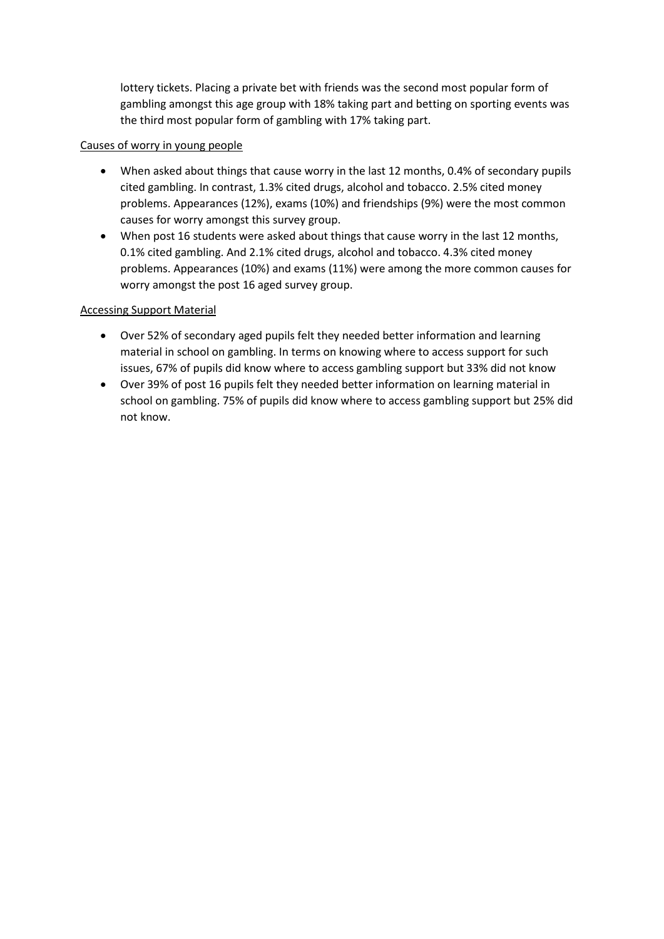lottery tickets. Placing a private bet with friends was the second most popular form of gambling amongst this age group with 18% taking part and betting on sporting events was the third most popular form of gambling with 17% taking part.

# Causes of worry in young people

- When asked about things that cause worry in the last 12 months, 0.4% of secondary pupils cited gambling. In contrast, 1.3% cited drugs, alcohol and tobacco. 2.5% cited money problems. Appearances (12%), exams (10%) and friendships (9%) were the most common causes for worry amongst this survey group.
- When post 16 students were asked about things that cause worry in the last 12 months, 0.1% cited gambling. And 2.1% cited drugs, alcohol and tobacco. 4.3% cited money problems. Appearances (10%) and exams (11%) were among the more common causes for worry amongst the post 16 aged survey group.

# Accessing Support Material

- Over 52% of secondary aged pupils felt they needed better information and learning material in school on gambling. In terms on knowing where to access support for such issues, 67% of pupils did know where to access gambling support but 33% did not know
- Over 39% of post 16 pupils felt they needed better information on learning material in school on gambling. 75% of pupils did know where to access gambling support but 25% did not know.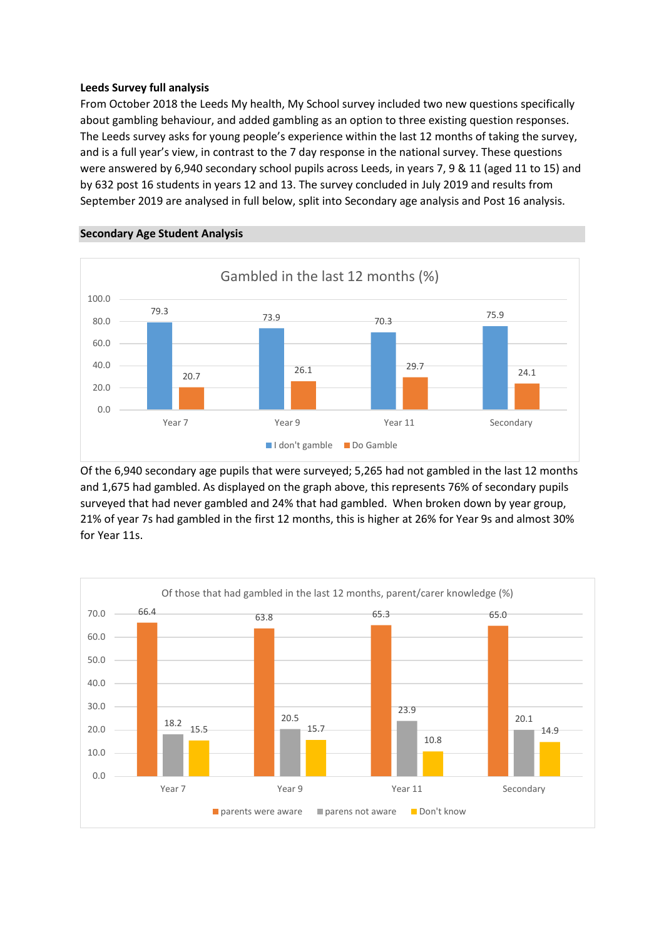#### **Leeds Survey full analysis**

From October 2018 the Leeds My health, My School survey included two new questions specifically about gambling behaviour, and added gambling as an option to three existing question responses. The Leeds survey asks for young people's experience within the last 12 months of taking the survey, and is a full year's view, in contrast to the 7 day response in the national survey. These questions were answered by 6,940 secondary school pupils across Leeds, in years 7, 9 & 11 (aged 11 to 15) and by 632 post 16 students in years 12 and 13. The survey concluded in July 2019 and results from September 2019 are analysed in full below, split into Secondary age analysis and Post 16 analysis.



#### **Secondary Age Student Analysis**

Of the 6,940 secondary age pupils that were surveyed; 5,265 had not gambled in the last 12 months and 1,675 had gambled. As displayed on the graph above, this represents 76% of secondary pupils surveyed that had never gambled and 24% that had gambled. When broken down by year group, 21% of year 7s had gambled in the first 12 months, this is higher at 26% for Year 9s and almost 30% for Year 11s.

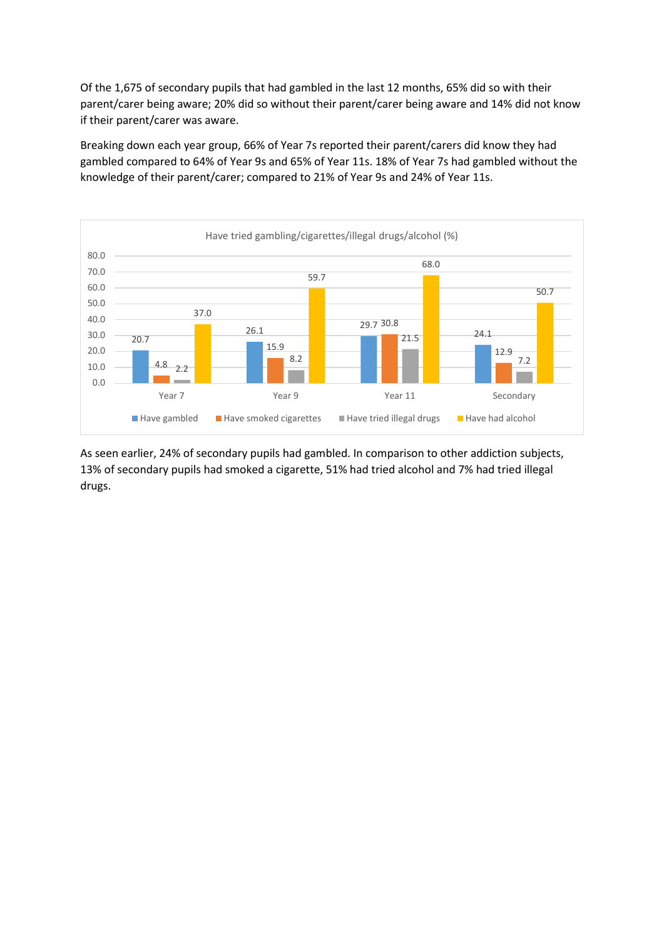Of the 1,675 of secondary pupils that had gambled in the last 12 months, 65% did so with their parent/carer being aware; 20% did so without their parent/carer being aware and 14% did not know if their parent/carer was aware.

Breaking down each year group, 66% of Year 7s reported their parent/carers did know they had gambled compared to 64% of Year 9s and 65% of Year 11s. 18% of Year 7s had gambled without the knowledge of their parent/carer; compared to 21% of Year 9s and 24% of Year 11s.



As seen earlier, 24% of secondary pupils had gambled. In comparison to other addiction subjects, 13% of secondary pupils had smoked a cigarette, 51% had tried alcohol and 7% had tried illegal drugs.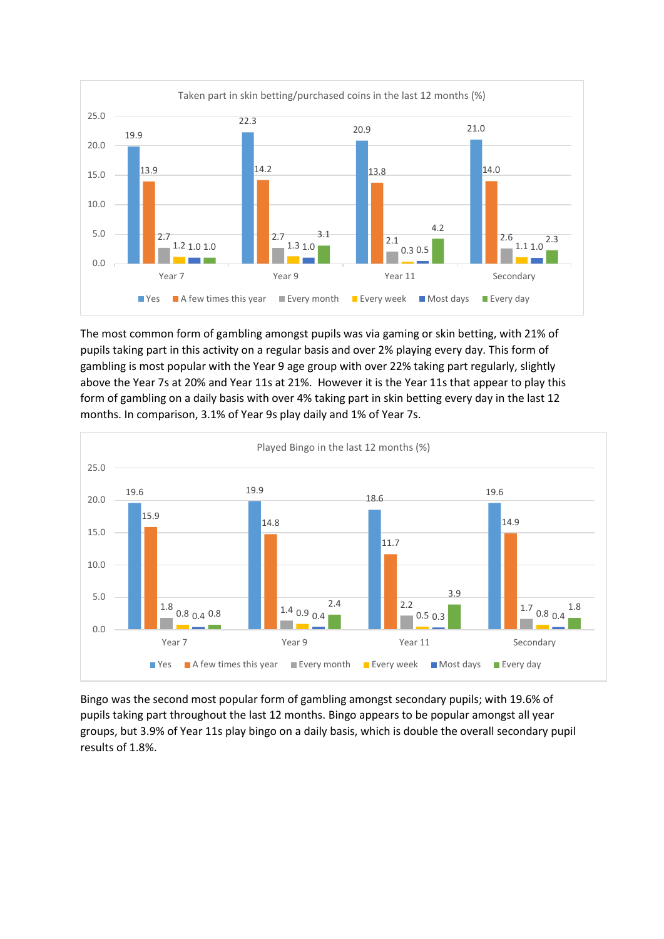

The most common form of gambling amongst pupils was via gaming or skin betting, with 21% of pupils taking part in this activity on a regular basis and over 2% playing every day. This form of gambling is most popular with the Year 9 age group with over 22% taking part regularly, slightly above the Year 7s at 20% and Year 11s at 21%. However it is the Year 11s that appear to play this form of gambling on a daily basis with over 4% taking part in skin betting every day in the last 12 months. In comparison, 3.1% of Year 9s play daily and 1% of Year 7s.



Bingo was the second most popular form of gambling amongst secondary pupils; with 19.6% of pupils taking part throughout the last 12 months. Bingo appears to be popular amongst all year groups, but 3.9% of Year 11s play bingo on a daily basis, which is double the overall secondary pupil results of 1.8%.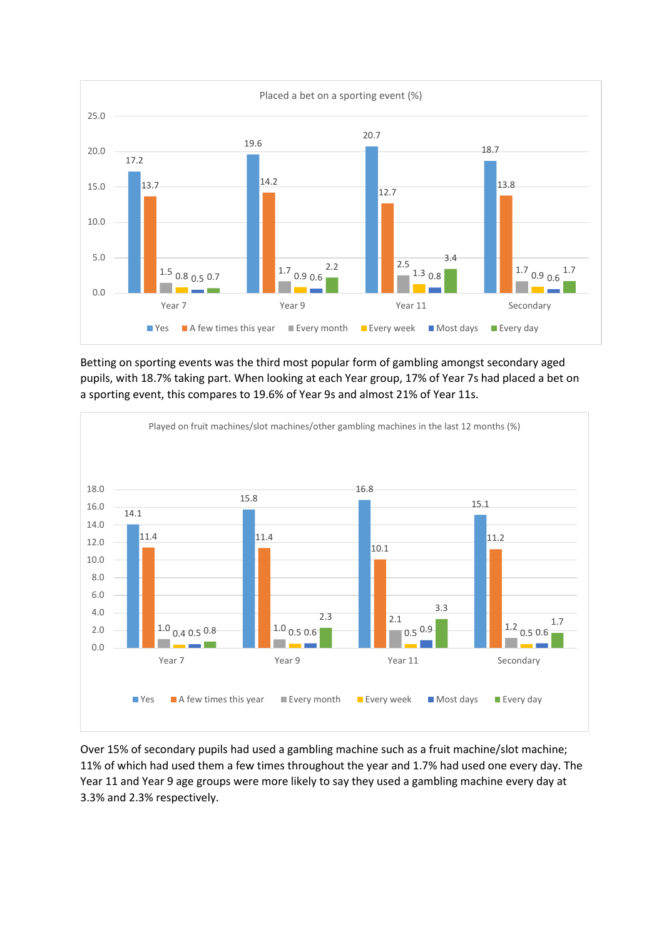

Betting on sporting events was the third most popular form of gambling amongst secondary aged pupils, with 18.7% taking part. When looking at each Year group, 17% of Year 7s had placed a bet on a sporting event, this compares to 19.6% of Year 9s and almost 21% of Year 11s.



Over 15% of secondary pupils had used a gambling machine such as a fruit machine/slot machine; 11% of which had used them a few times throughout the year and 1.7% had used one every day. The Year 11 and Year 9 age groups were more likely to say they used a gambling machine every day at 3.3% and 2.3% respectively.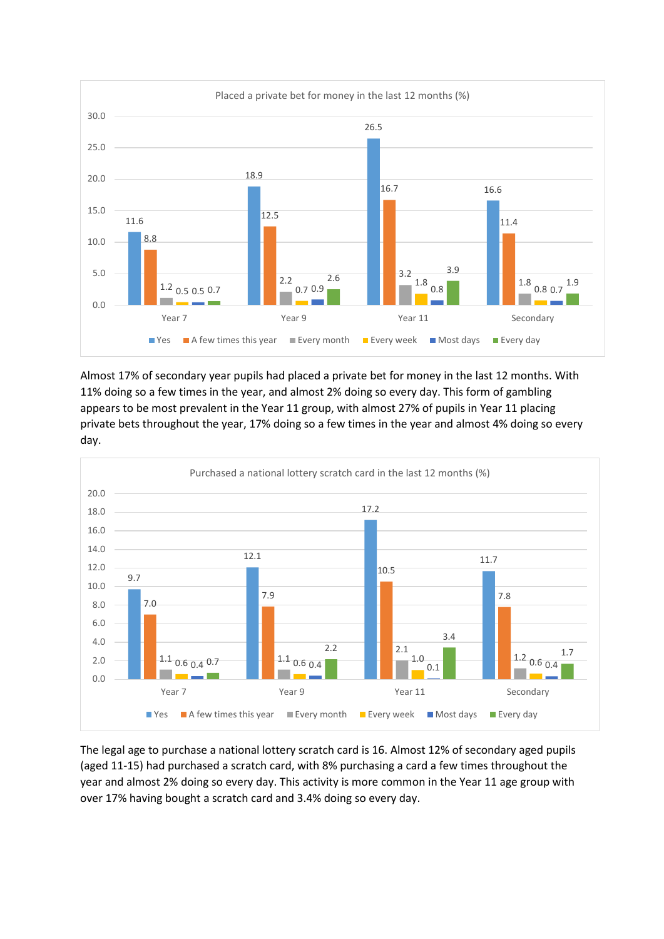

Almost 17% of secondary year pupils had placed a private bet for money in the last 12 months. With 11% doing so a few times in the year, and almost 2% doing so every day. This form of gambling appears to be most prevalent in the Year 11 group, with almost 27% of pupils in Year 11 placing private bets throughout the year, 17% doing so a few times in the year and almost 4% doing so every day.



The legal age to purchase a national lottery scratch card is 16. Almost 12% of secondary aged pupils (aged 11-15) had purchased a scratch card, with 8% purchasing a card a few times throughout the year and almost 2% doing so every day. This activity is more common in the Year 11 age group with over 17% having bought a scratch card and 3.4% doing so every day.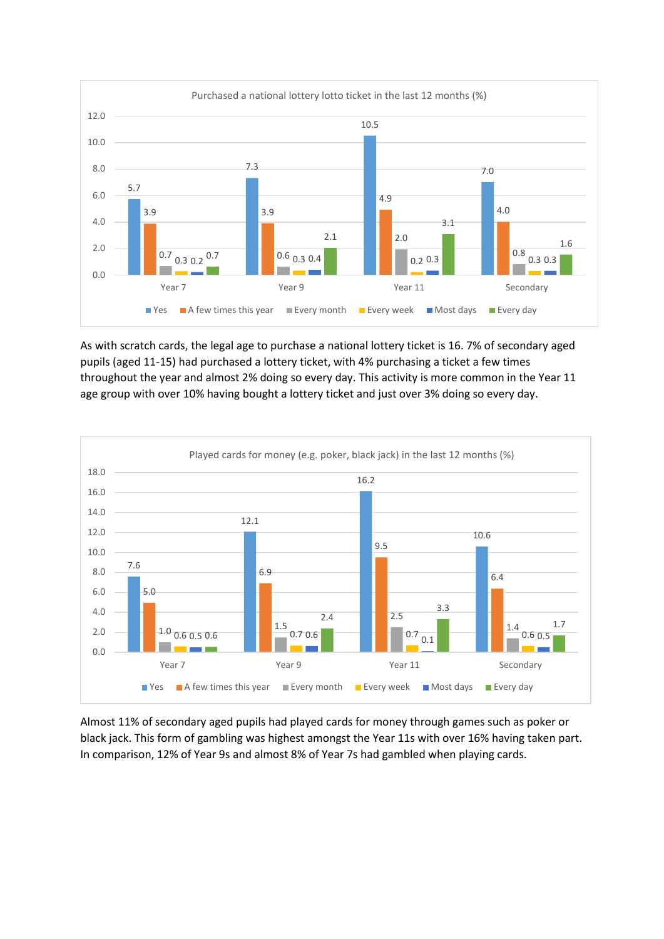

As with scratch cards, the legal age to purchase a national lottery ticket is 16. 7% of secondary aged pupils (aged 11-15) had purchased a lottery ticket, with 4% purchasing a ticket a few times throughout the year and almost 2% doing so every day. This activity is more common in the Year 11 age group with over 10% having bought a lottery ticket and just over 3% doing so every day.



Almost 11% of secondary aged pupils had played cards for money through games such as poker or black jack. This form of gambling was highest amongst the Year 11s with over 16% having taken part. In comparison, 12% of Year 9s and almost 8% of Year 7s had gambled when playing cards.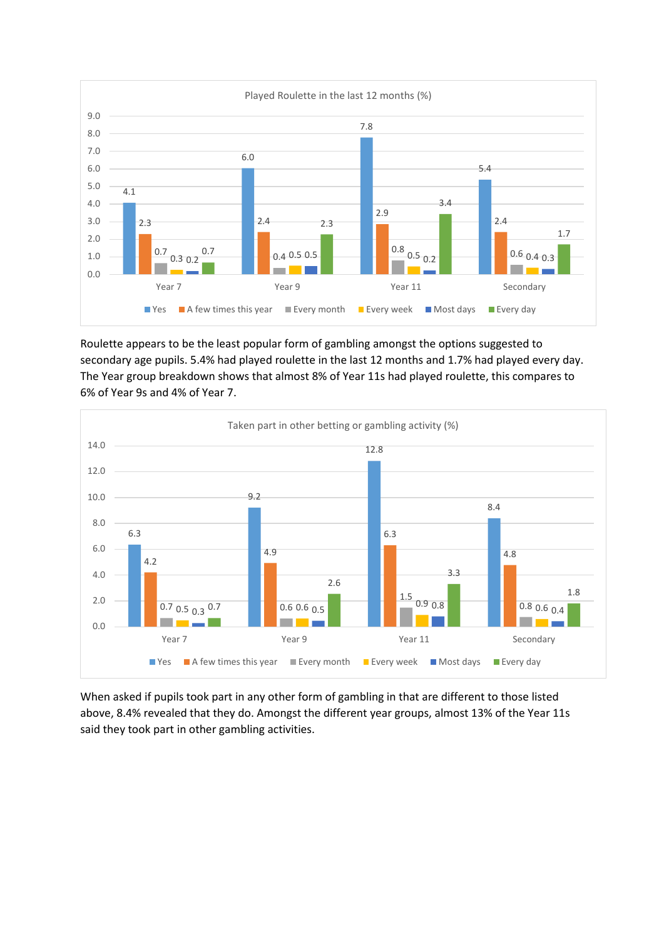

Roulette appears to be the least popular form of gambling amongst the options suggested to secondary age pupils. 5.4% had played roulette in the last 12 months and 1.7% had played every day. The Year group breakdown shows that almost 8% of Year 11s had played roulette, this compares to 6% of Year 9s and 4% of Year 7.



When asked if pupils took part in any other form of gambling in that are different to those listed above, 8.4% revealed that they do. Amongst the different year groups, almost 13% of the Year 11s said they took part in other gambling activities.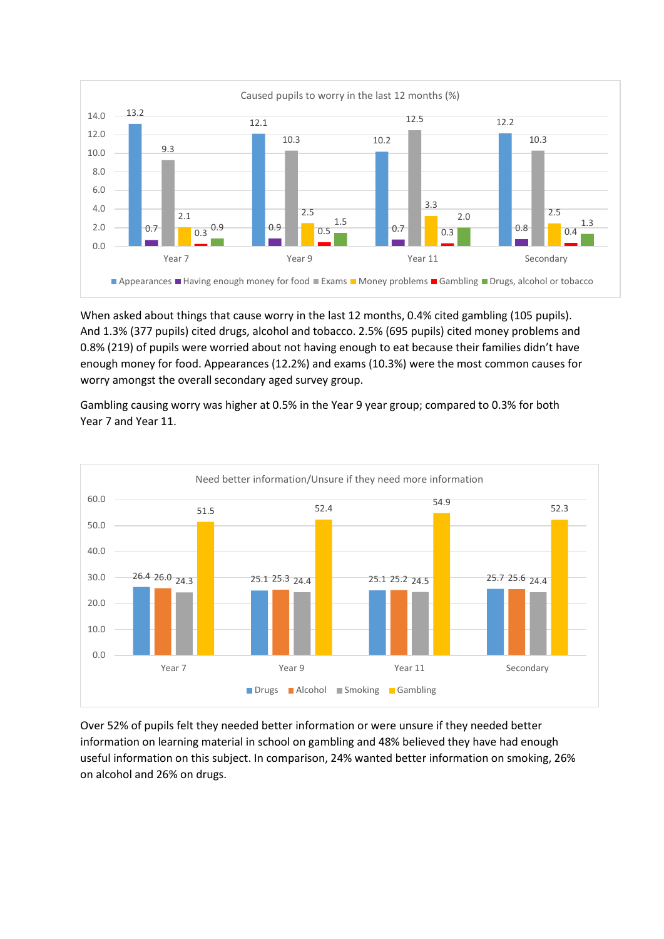

When asked about things that cause worry in the last 12 months, 0.4% cited gambling (105 pupils). And 1.3% (377 pupils) cited drugs, alcohol and tobacco. 2.5% (695 pupils) cited money problems and 0.8% (219) of pupils were worried about not having enough to eat because their families didn't have enough money for food. Appearances (12.2%) and exams (10.3%) were the most common causes for worry amongst the overall secondary aged survey group.

Gambling causing worry was higher at 0.5% in the Year 9 year group; compared to 0.3% for both Year 7 and Year 11.



Over 52% of pupils felt they needed better information or were unsure if they needed better information on learning material in school on gambling and 48% believed they have had enough useful information on this subject. In comparison, 24% wanted better information on smoking, 26% on alcohol and 26% on drugs.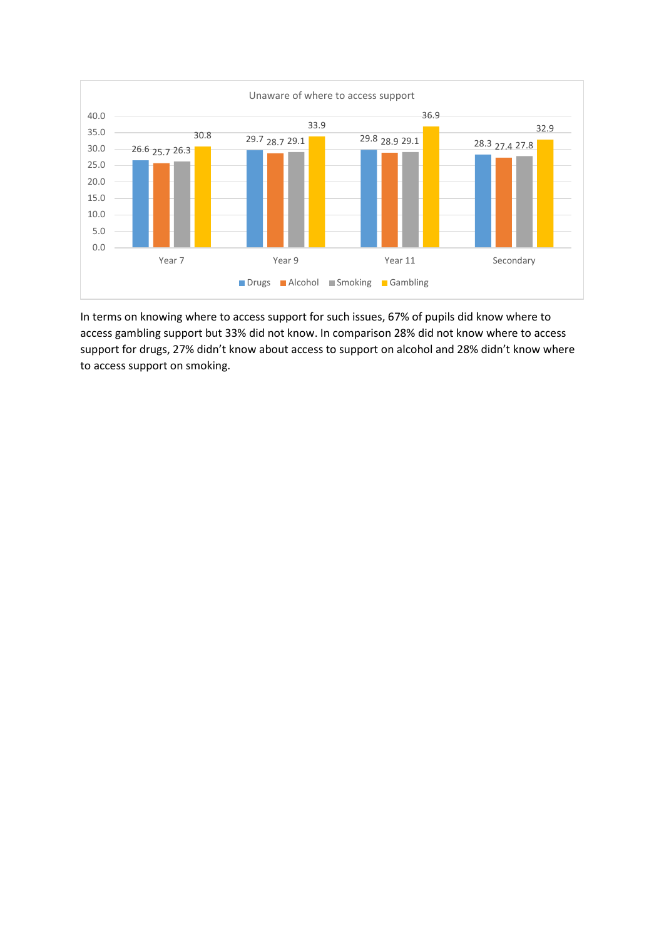

In terms on knowing where to access support for such issues, 67% of pupils did know where to access gambling support but 33% did not know. In comparison 28% did not know where to access support for drugs, 27% didn't know about access to support on alcohol and 28% didn't know where to access support on smoking.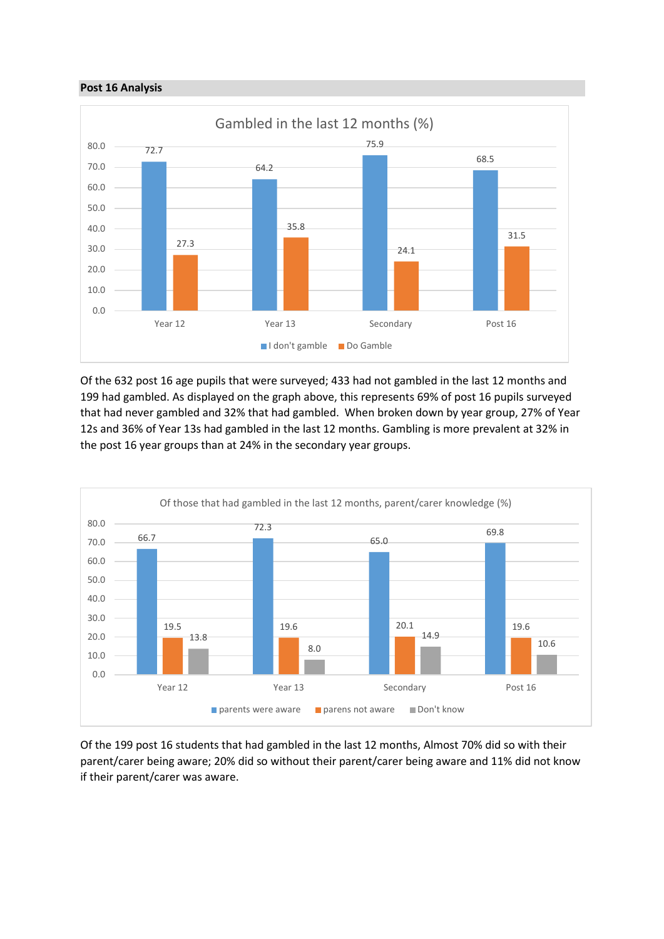#### **Post 16 Analysis**



Of the 632 post 16 age pupils that were surveyed; 433 had not gambled in the last 12 months and 199 had gambled. As displayed on the graph above, this represents 69% of post 16 pupils surveyed that had never gambled and 32% that had gambled. When broken down by year group, 27% of Year 12s and 36% of Year 13s had gambled in the last 12 months. Gambling is more prevalent at 32% in the post 16 year groups than at 24% in the secondary year groups.



Of the 199 post 16 students that had gambled in the last 12 months, Almost 70% did so with their parent/carer being aware; 20% did so without their parent/carer being aware and 11% did not know if their parent/carer was aware.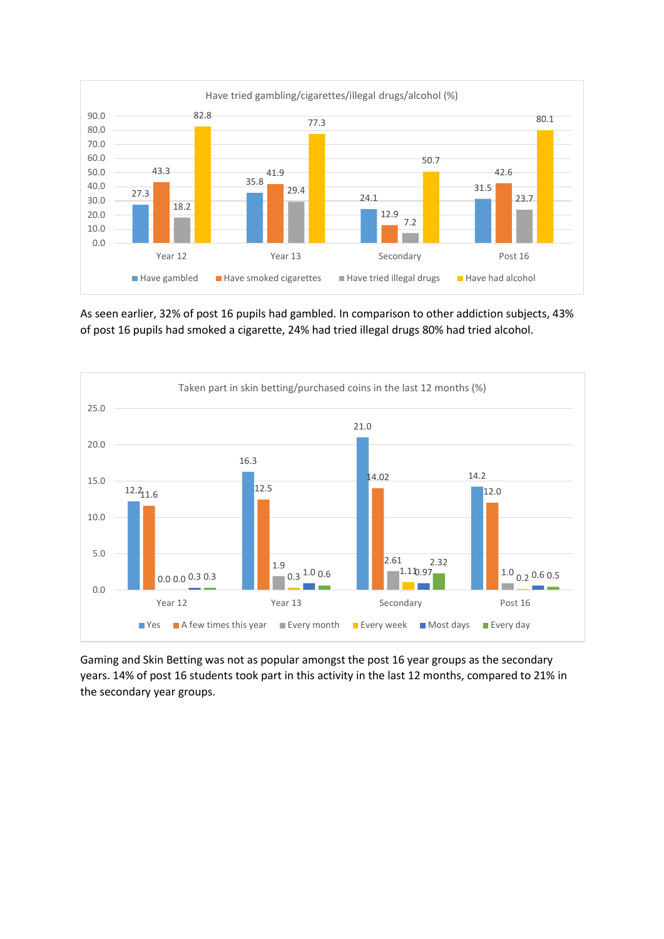

As seen earlier, 32% of post 16 pupils had gambled. In comparison to other addiction subjects, 43% of post 16 pupils had smoked a cigarette, 24% had tried illegal drugs 80% had tried alcohol.



Gaming and Skin Betting was not as popular amongst the post 16 year groups as the secondary years. 14% of post 16 students took part in this activity in the last 12 months, compared to 21% in the secondary year groups.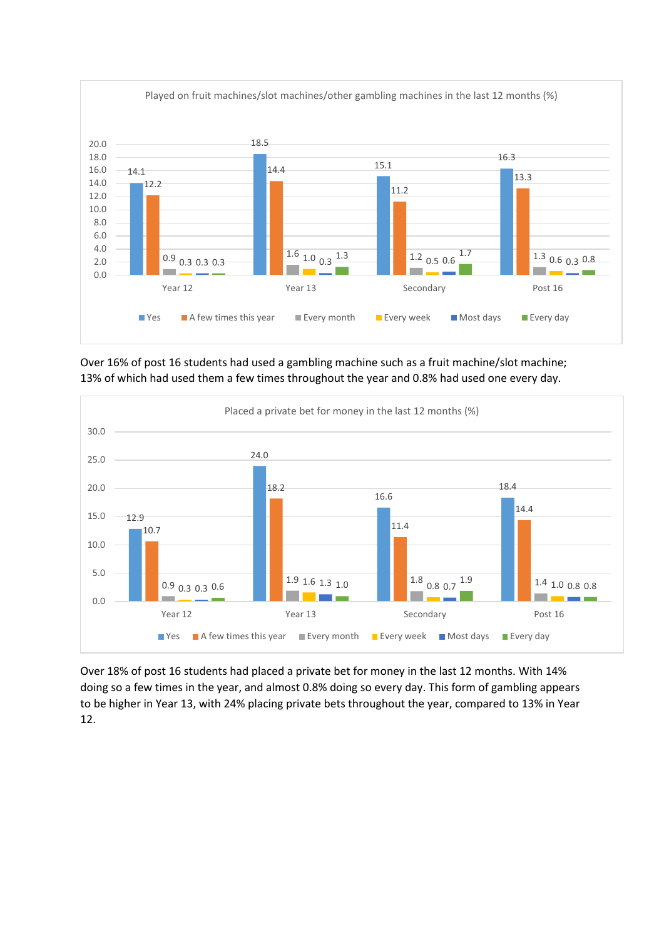

Over 16% of post 16 students had used a gambling machine such as a fruit machine/slot machine; 13% of which had used them a few times throughout the year and 0.8% had used one every day.



Over 18% of post 16 students had placed a private bet for money in the last 12 months. With 14% doing so a few times in the year, and almost 0.8% doing so every day. This form of gambling appears to be higher in Year 13, with 24% placing private bets throughout the year, compared to 13% in Year 12.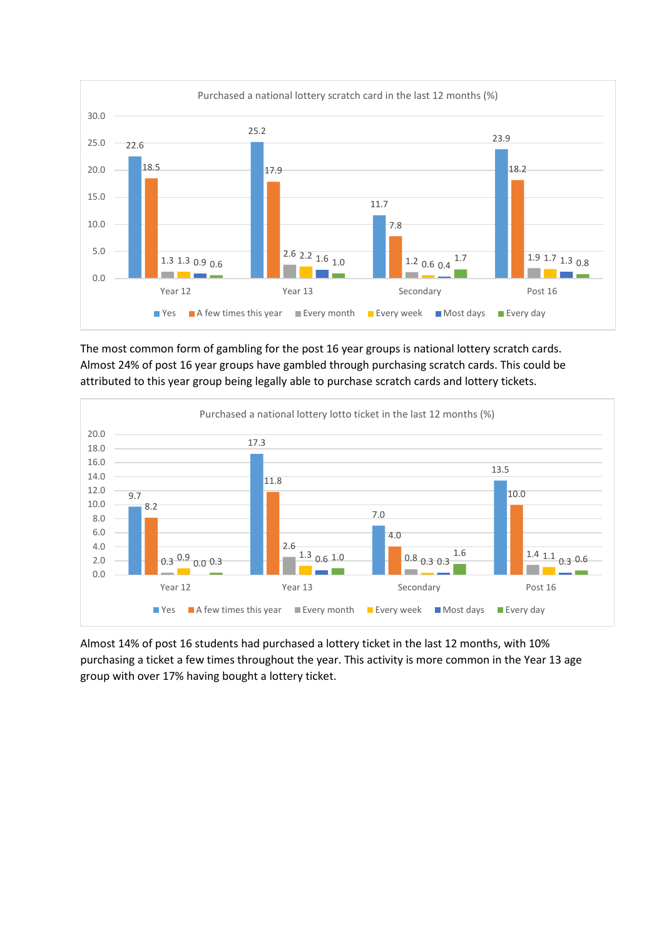

The most common form of gambling for the post 16 year groups is national lottery scratch cards. Almost 24% of post 16 year groups have gambled through purchasing scratch cards. This could be attributed to this year group being legally able to purchase scratch cards and lottery tickets.



Almost 14% of post 16 students had purchased a lottery ticket in the last 12 months, with 10% purchasing a ticket a few times throughout the year. This activity is more common in the Year 13 age group with over 17% having bought a lottery ticket.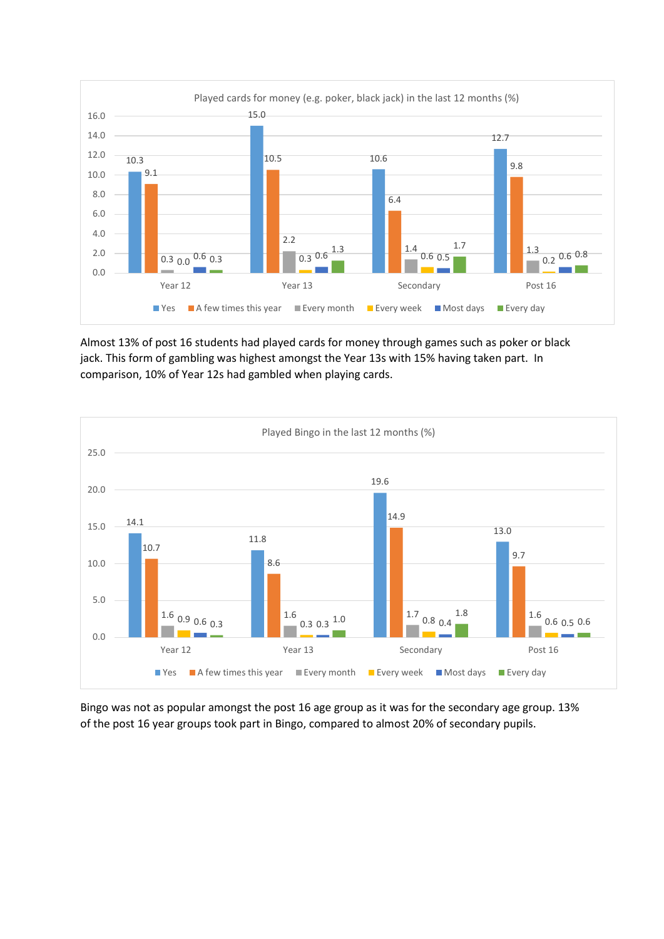

Almost 13% of post 16 students had played cards for money through games such as poker or black jack. This form of gambling was highest amongst the Year 13s with 15% having taken part. In comparison, 10% of Year 12s had gambled when playing cards.



Bingo was not as popular amongst the post 16 age group as it was for the secondary age group. 13% of the post 16 year groups took part in Bingo, compared to almost 20% of secondary pupils.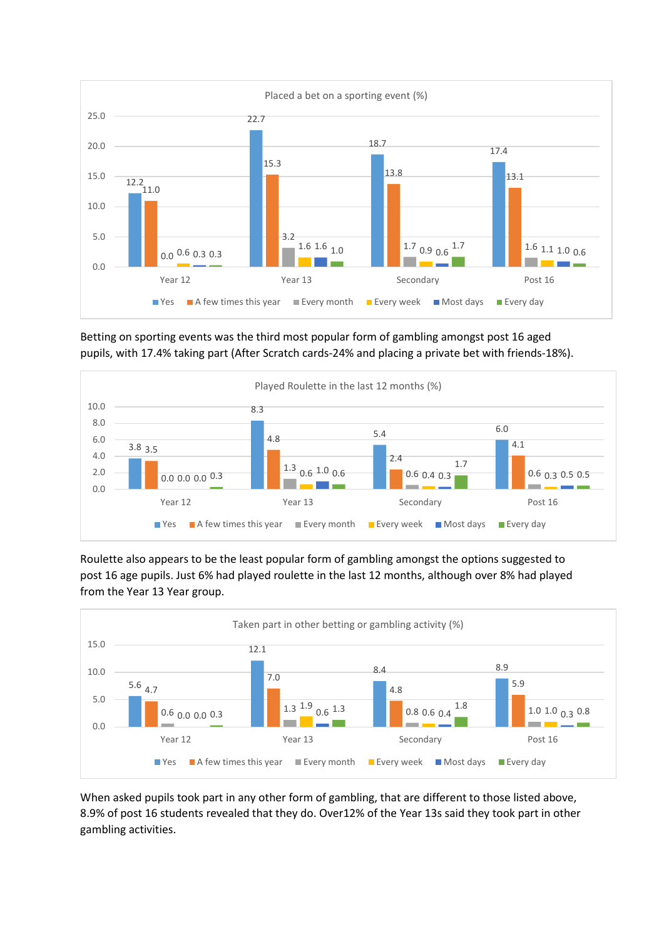

Betting on sporting events was the third most popular form of gambling amongst post 16 aged pupils, with 17.4% taking part (After Scratch cards-24% and placing a private bet with friends-18%).



Roulette also appears to be the least popular form of gambling amongst the options suggested to post 16 age pupils. Just 6% had played roulette in the last 12 months, although over 8% had played from the Year 13 Year group.



When asked pupils took part in any other form of gambling, that are different to those listed above, 8.9% of post 16 students revealed that they do. Over12% of the Year 13s said they took part in other gambling activities.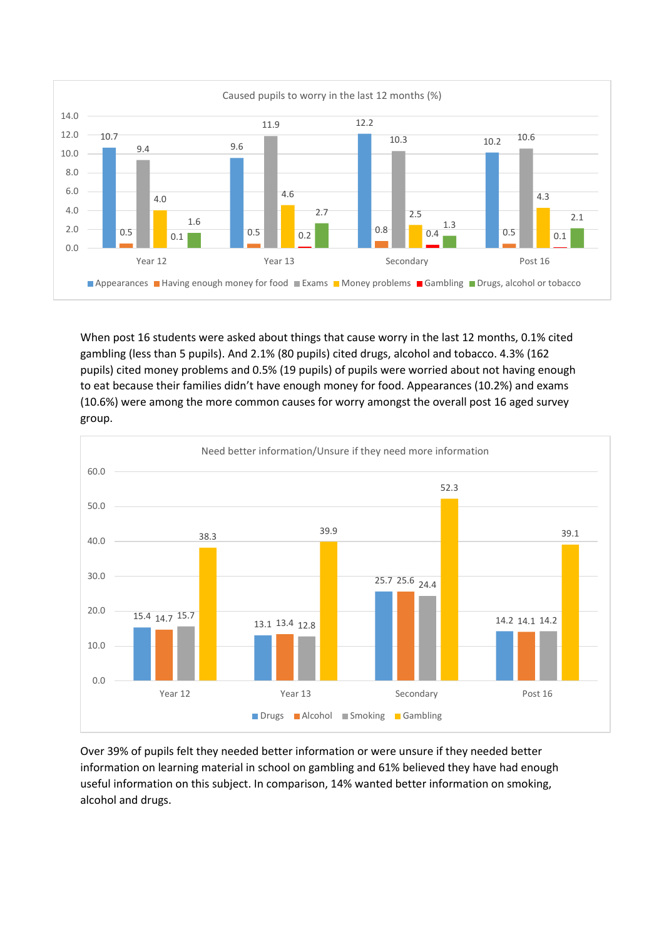

When post 16 students were asked about things that cause worry in the last 12 months, 0.1% cited gambling (less than 5 pupils). And 2.1% (80 pupils) cited drugs, alcohol and tobacco. 4.3% (162 pupils) cited money problems and 0.5% (19 pupils) of pupils were worried about not having enough to eat because their families didn't have enough money for food. Appearances (10.2%) and exams (10.6%) were among the more common causes for worry amongst the overall post 16 aged survey group.



Over 39% of pupils felt they needed better information or were unsure if they needed better information on learning material in school on gambling and 61% believed they have had enough useful information on this subject. In comparison, 14% wanted better information on smoking, alcohol and drugs.